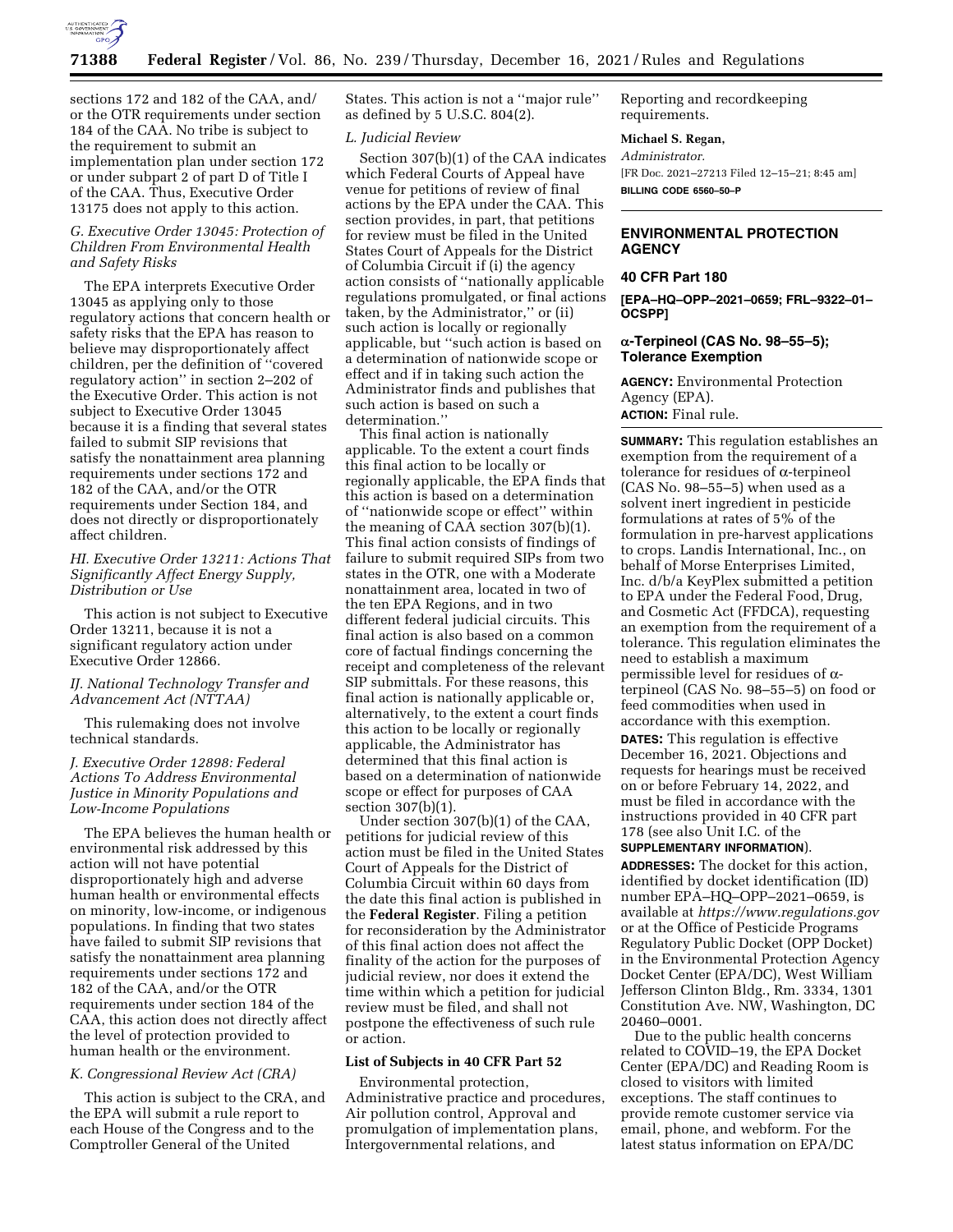

sections 172 and 182 of the CAA, and/ or the OTR requirements under section 184 of the CAA. No tribe is subject to the requirement to submit an implementation plan under section 172 or under subpart 2 of part D of Title I of the CAA. Thus, Executive Order 13175 does not apply to this action.

## *G. Executive Order 13045: Protection of Children From Environmental Health and Safety Risks*

The EPA interprets Executive Order 13045 as applying only to those regulatory actions that concern health or safety risks that the EPA has reason to believe may disproportionately affect children, per the definition of ''covered regulatory action'' in section 2–202 of the Executive Order. This action is not subject to Executive Order 13045 because it is a finding that several states failed to submit SIP revisions that satisfy the nonattainment area planning requirements under sections 172 and 182 of the CAA, and/or the OTR requirements under Section 184, and does not directly or disproportionately affect children.

## *HI. Executive Order 13211: Actions That Significantly Affect Energy Supply, Distribution or Use*

This action is not subject to Executive Order 13211, because it is not a significant regulatory action under Executive Order 12866.

## *IJ. National Technology Transfer and Advancement Act (NTTAA)*

This rulemaking does not involve technical standards.

## *J. Executive Order 12898: Federal Actions To Address Environmental Justice in Minority Populations and Low-Income Populations*

The EPA believes the human health or environmental risk addressed by this action will not have potential disproportionately high and adverse human health or environmental effects on minority, low-income, or indigenous populations. In finding that two states have failed to submit SIP revisions that satisfy the nonattainment area planning requirements under sections 172 and 182 of the CAA, and/or the OTR requirements under section 184 of the CAA, this action does not directly affect the level of protection provided to human health or the environment.

#### *K. Congressional Review Act (CRA)*

This action is subject to the CRA, and the EPA will submit a rule report to each House of the Congress and to the Comptroller General of the United

States. This action is not a ''major rule'' as defined by 5 U.S.C. 804(2).

## *L. Judicial Review*

Section 307(b)(1) of the CAA indicates which Federal Courts of Appeal have venue for petitions of review of final actions by the EPA under the CAA. This section provides, in part, that petitions for review must be filed in the United States Court of Appeals for the District of Columbia Circuit if (i) the agency action consists of ''nationally applicable regulations promulgated, or final actions taken, by the Administrator,'' or (ii) such action is locally or regionally applicable, but ''such action is based on a determination of nationwide scope or effect and if in taking such action the Administrator finds and publishes that such action is based on such a determination.''

This final action is nationally applicable. To the extent a court finds this final action to be locally or regionally applicable, the EPA finds that this action is based on a determination of ''nationwide scope or effect'' within the meaning of CAA section 307(b)(1). This final action consists of findings of failure to submit required SIPs from two states in the OTR, one with a Moderate nonattainment area, located in two of the ten EPA Regions, and in two different federal judicial circuits. This final action is also based on a common core of factual findings concerning the receipt and completeness of the relevant SIP submittals. For these reasons, this final action is nationally applicable or, alternatively, to the extent a court finds this action to be locally or regionally applicable, the Administrator has determined that this final action is based on a determination of nationwide scope or effect for purposes of CAA section 307(b)(1).

Under section 307(b)(1) of the CAA, petitions for judicial review of this action must be filed in the United States Court of Appeals for the District of Columbia Circuit within 60 days from the date this final action is published in the **Federal Register**. Filing a petition for reconsideration by the Administrator of this final action does not affect the finality of the action for the purposes of judicial review, nor does it extend the time within which a petition for judicial review must be filed, and shall not postpone the effectiveness of such rule or action.

## **List of Subjects in 40 CFR Part 52**

Environmental protection, Administrative practice and procedures, Air pollution control, Approval and promulgation of implementation plans, Intergovernmental relations, and

Reporting and recordkeeping requirements.

## **Michael S. Regan,**

*Administrator.*  [FR Doc. 2021–27213 Filed 12–15–21; 8:45 am] **BILLING CODE 6560–50–P** 

# **ENVIRONMENTAL PROTECTION AGENCY**

#### **40 CFR Part 180**

**[EPA–HQ–OPP–2021–0659; FRL–9322–01– OCSPP]** 

# **α-Terpineol (CAS No. 98–55–5); Tolerance Exemption**

**AGENCY:** Environmental Protection Agency (EPA). **ACTION:** Final rule.

**SUMMARY:** This regulation establishes an exemption from the requirement of a tolerance for residues of  $\alpha$ -terpineol (CAS No. 98–55–5) when used as a solvent inert ingredient in pesticide formulations at rates of 5% of the formulation in pre-harvest applications to crops. Landis International, Inc., on behalf of Morse Enterprises Limited, Inc. d/b/a KeyPlex submitted a petition to EPA under the Federal Food, Drug, and Cosmetic Act (FFDCA), requesting an exemption from the requirement of a tolerance. This regulation eliminates the need to establish a maximum permissible level for residues of  $\alpha$ terpineol (CAS No. 98–55–5) on food or feed commodities when used in accordance with this exemption. **DATES:** This regulation is effective December 16, 2021. Objections and requests for hearings must be received on or before February 14, 2022, and must be filed in accordance with the instructions provided in 40 CFR part 178 (see also Unit I.C. of the

## **SUPPLEMENTARY INFORMATION**).

**ADDRESSES:** The docket for this action, identified by docket identification (ID) number EPA–HQ–OPP–2021–0659, is available at *<https://www.regulations.gov>* or at the Office of Pesticide Programs Regulatory Public Docket (OPP Docket) in the Environmental Protection Agency Docket Center (EPA/DC), West William Jefferson Clinton Bldg., Rm. 3334, 1301 Constitution Ave. NW, Washington, DC 20460–0001.

Due to the public health concerns related to COVID–19, the EPA Docket Center (EPA/DC) and Reading Room is closed to visitors with limited exceptions. The staff continues to provide remote customer service via email, phone, and webform. For the latest status information on EPA/DC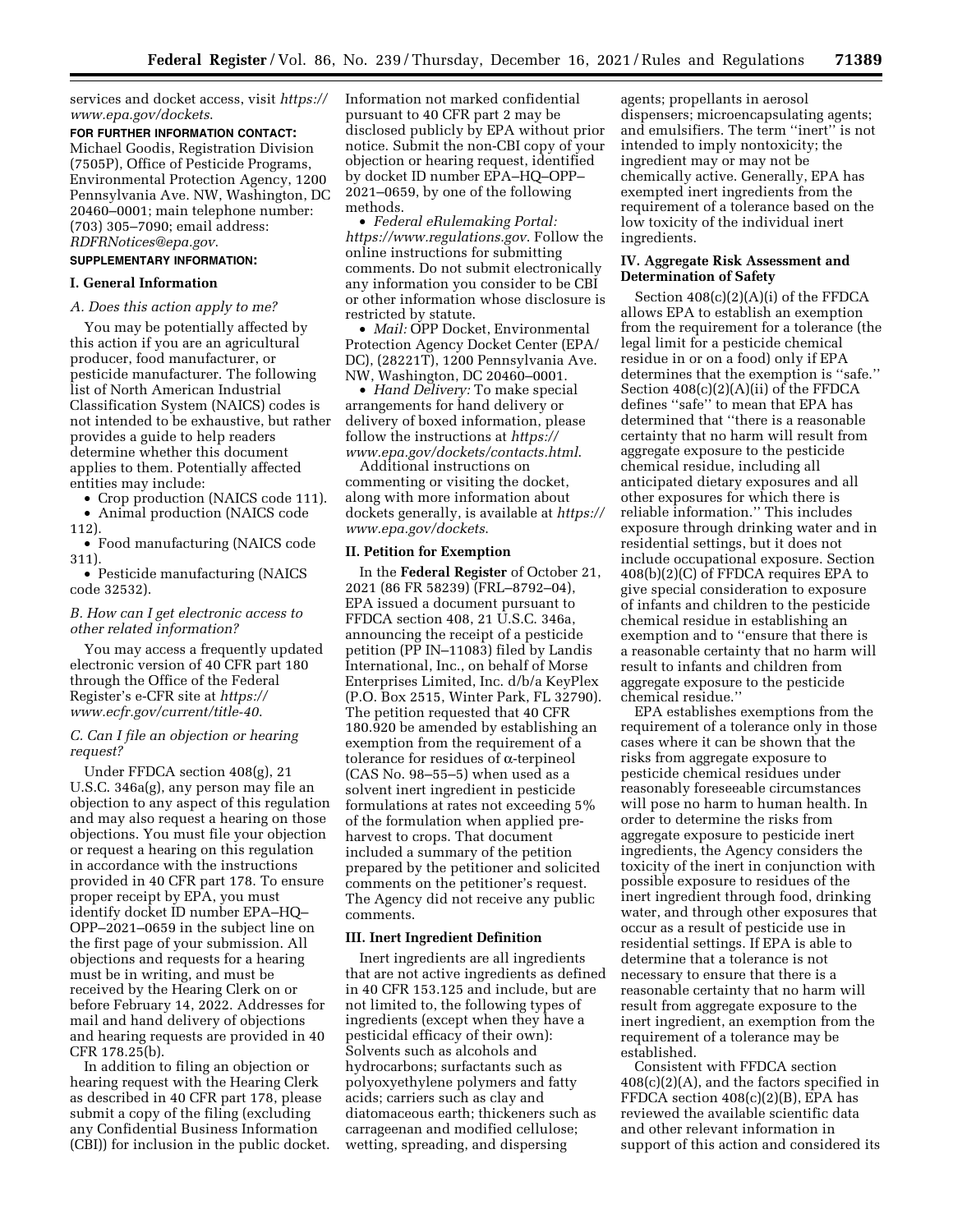services and docket access, visit *[https://](https://www.epa.gov/dockets) [www.epa.gov/dockets](https://www.epa.gov/dockets)*.

**FOR FURTHER INFORMATION CONTACT:**  Michael Goodis, Registration Division (7505P), Office of Pesticide Programs, Environmental Protection Agency, 1200 Pennsylvania Ave. NW, Washington, DC 20460–0001; main telephone number: (703) 305–7090; email address: *[RDFRNotices@epa.gov](mailto:RDFRNotices@epa.gov)*.

# **SUPPLEMENTARY INFORMATION:**

## **I. General Information**

#### *A. Does this action apply to me?*

You may be potentially affected by this action if you are an agricultural producer, food manufacturer, or pesticide manufacturer. The following list of North American Industrial Classification System (NAICS) codes is not intended to be exhaustive, but rather provides a guide to help readers determine whether this document applies to them. Potentially affected entities may include:

• Crop production (NAICS code 111). • Animal production (NAICS code

112). • Food manufacturing (NAICS code 311).

• Pesticide manufacturing (NAICS code 32532).

## *B. How can I get electronic access to other related information?*

You may access a frequently updated electronic version of 40 CFR part 180 through the Office of the Federal Register's e-CFR site at *[https://](https://www.ecfr.gov/current/title-40) [www.ecfr.gov/current/title-40](https://www.ecfr.gov/current/title-40)*.

## *C. Can I file an objection or hearing request?*

Under FFDCA section 408(g), 21 U.S.C. 346a(g), any person may file an objection to any aspect of this regulation and may also request a hearing on those objections. You must file your objection or request a hearing on this regulation in accordance with the instructions provided in 40 CFR part 178. To ensure proper receipt by EPA, you must identify docket ID number EPA–HQ– OPP–2021–0659 in the subject line on the first page of your submission. All objections and requests for a hearing must be in writing, and must be received by the Hearing Clerk on or before February 14, 2022. Addresses for mail and hand delivery of objections and hearing requests are provided in 40 CFR 178.25(b).

In addition to filing an objection or hearing request with the Hearing Clerk as described in 40 CFR part 178, please submit a copy of the filing (excluding any Confidential Business Information (CBI)) for inclusion in the public docket. Information not marked confidential pursuant to 40 CFR part 2 may be disclosed publicly by EPA without prior notice. Submit the non-CBI copy of your objection or hearing request, identified by docket ID number EPA–HQ–OPP– 2021–0659, by one of the following methods.

• *Federal eRulemaking Portal: <https://www.regulations.gov>*. Follow the online instructions for submitting comments. Do not submit electronically any information you consider to be CBI or other information whose disclosure is restricted by statute.

• *Mail:* OPP Docket, Environmental Protection Agency Docket Center (EPA/ DC), (28221T), 1200 Pennsylvania Ave. NW, Washington, DC 20460–0001.

• *Hand Delivery:* To make special arrangements for hand delivery or delivery of boxed information, please follow the instructions at *[https://](https://www.epa.gov/dockets/contacts.html) [www.epa.gov/dockets/contacts.html](https://www.epa.gov/dockets/contacts.html)*.

Additional instructions on commenting or visiting the docket, along with more information about dockets generally, is available at *[https://](https://www.epa.gov/dockets) [www.epa.gov/dockets](https://www.epa.gov/dockets)*.

#### **II. Petition for Exemption**

In the **Federal Register** of October 21, 2021 (86 FR 58239) (FRL–8792–04), EPA issued a document pursuant to FFDCA section 408, 21 U.S.C. 346a, announcing the receipt of a pesticide petition (PP IN–11083) filed by Landis International, Inc., on behalf of Morse Enterprises Limited, Inc. d/b/a KeyPlex (P.O. Box 2515, Winter Park, FL 32790). The petition requested that 40 CFR 180.920 be amended by establishing an exemption from the requirement of a tolerance for residues of  $\alpha$ -terpineol (CAS No. 98–55–5) when used as a solvent inert ingredient in pesticide formulations at rates not exceeding 5% of the formulation when applied preharvest to crops. That document included a summary of the petition prepared by the petitioner and solicited comments on the petitioner's request. The Agency did not receive any public comments.

### **III. Inert Ingredient Definition**

Inert ingredients are all ingredients that are not active ingredients as defined in 40 CFR 153.125 and include, but are not limited to, the following types of ingredients (except when they have a pesticidal efficacy of their own): Solvents such as alcohols and hydrocarbons; surfactants such as polyoxyethylene polymers and fatty acids; carriers such as clay and diatomaceous earth; thickeners such as carrageenan and modified cellulose; wetting, spreading, and dispersing

agents; propellants in aerosol dispensers; microencapsulating agents; and emulsifiers. The term ''inert'' is not intended to imply nontoxicity; the ingredient may or may not be chemically active. Generally, EPA has exempted inert ingredients from the requirement of a tolerance based on the low toxicity of the individual inert ingredients.

### **IV. Aggregate Risk Assessment and Determination of Safety**

Section 408(c)(2)(A)(i) of the FFDCA allows EPA to establish an exemption from the requirement for a tolerance (the legal limit for a pesticide chemical residue in or on a food) only if EPA determines that the exemption is ''safe.'' Section 408(c)(2)(A)(ii) of the FFDCA defines ''safe'' to mean that EPA has determined that ''there is a reasonable certainty that no harm will result from aggregate exposure to the pesticide chemical residue, including all anticipated dietary exposures and all other exposures for which there is reliable information.'' This includes exposure through drinking water and in residential settings, but it does not include occupational exposure. Section 408(b)(2)(C) of FFDCA requires EPA to give special consideration to exposure of infants and children to the pesticide chemical residue in establishing an exemption and to ''ensure that there is a reasonable certainty that no harm will result to infants and children from aggregate exposure to the pesticide chemical residue.''

EPA establishes exemptions from the requirement of a tolerance only in those cases where it can be shown that the risks from aggregate exposure to pesticide chemical residues under reasonably foreseeable circumstances will pose no harm to human health. In order to determine the risks from aggregate exposure to pesticide inert ingredients, the Agency considers the toxicity of the inert in conjunction with possible exposure to residues of the inert ingredient through food, drinking water, and through other exposures that occur as a result of pesticide use in residential settings. If EPA is able to determine that a tolerance is not necessary to ensure that there is a reasonable certainty that no harm will result from aggregate exposure to the inert ingredient, an exemption from the requirement of a tolerance may be established.

Consistent with FFDCA section 408(c)(2)(A), and the factors specified in FFDCA section 408(c)(2)(B), EPA has reviewed the available scientific data and other relevant information in support of this action and considered its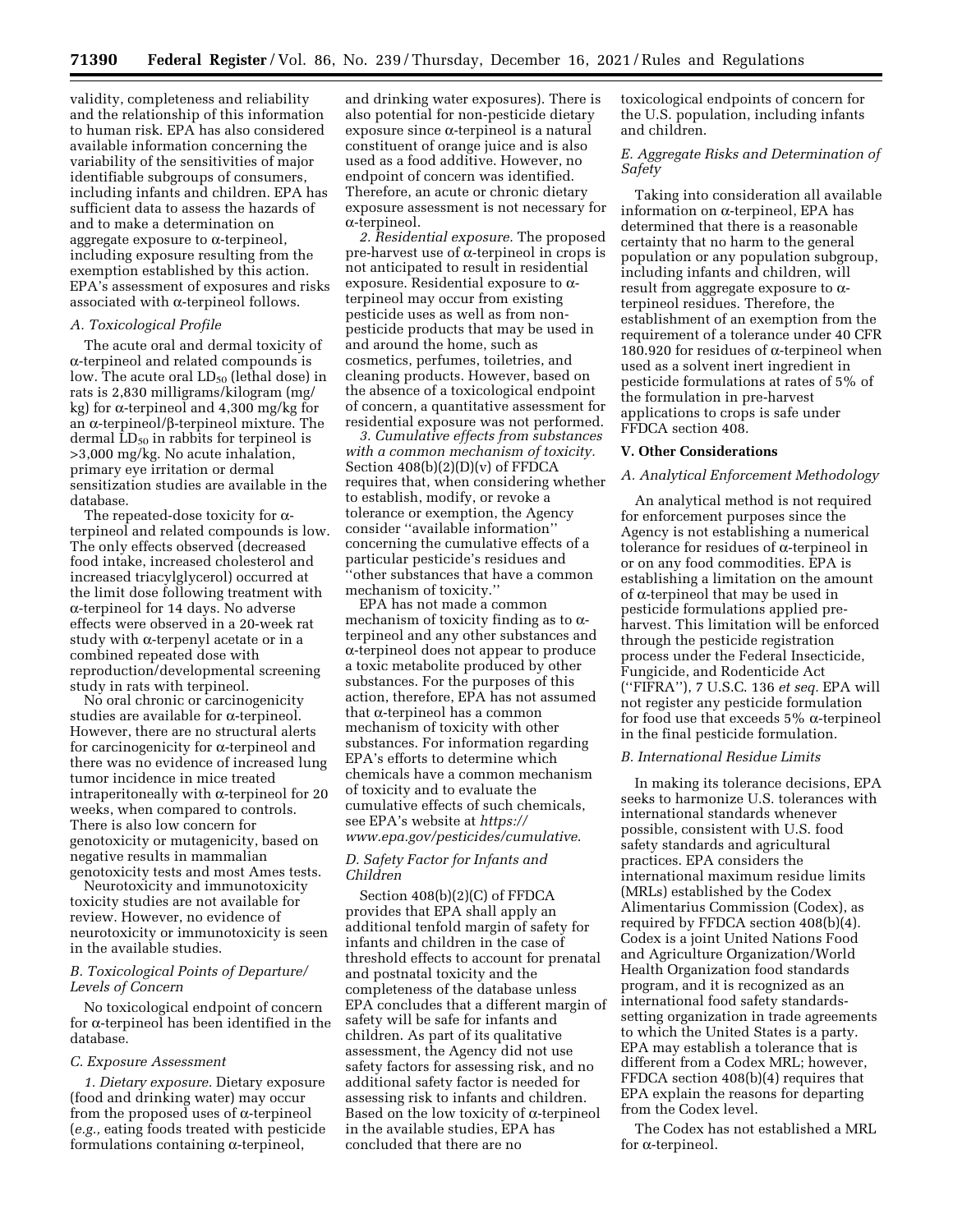validity, completeness and reliability and the relationship of this information to human risk. EPA has also considered available information concerning the variability of the sensitivities of major identifiable subgroups of consumers, including infants and children. EPA has sufficient data to assess the hazards of and to make a determination on aggregate exposure to  $\alpha$ -terpineol, including exposure resulting from the exemption established by this action. EPA's assessment of exposures and risks associated with  $\alpha$ -terpineol follows.

## *A. Toxicological Profile*

The acute oral and dermal toxicity of a-terpineol and related compounds is low. The acute oral  $LD_{50}$  (lethal dose) in rats is 2,830 milligrams/kilogram (mg/ kg) for  $\alpha$ -terpineol and 4,300 mg/kg for an  $\alpha$ -terpineol/ $\beta$ -terpineol mixture. The dermal  $LD_{50}$  in rabbits for terpineol is >3,000 mg/kg. No acute inhalation, primary eye irritation or dermal sensitization studies are available in the database.

The repeated-dose toxicity for  $\alpha$ terpineol and related compounds is low. The only effects observed (decreased food intake, increased cholesterol and increased triacylglycerol) occurred at the limit dose following treatment with a-terpineol for 14 days. No adverse effects were observed in a 20-week rat study with  $\alpha$ -terpenyl acetate or in a combined repeated dose with reproduction/developmental screening study in rats with terpineol.

No oral chronic or carcinogenicity studies are available for  $\alpha$ -terpineol. However, there are no structural alerts for carcinogenicity for  $\alpha$ -terpineol and there was no evidence of increased lung tumor incidence in mice treated intraperitoneally with  $\alpha$ -terpineol for 20 weeks, when compared to controls. There is also low concern for genotoxicity or mutagenicity, based on negative results in mammalian genotoxicity tests and most Ames tests.

Neurotoxicity and immunotoxicity toxicity studies are not available for review. However, no evidence of neurotoxicity or immunotoxicity is seen in the available studies.

## *B. Toxicological Points of Departure/ Levels of Concern*

No toxicological endpoint of concern for  $\alpha$ -terpineol has been identified in the database.

#### *C. Exposure Assessment*

*1. Dietary exposure.* Dietary exposure (food and drinking water) may occur from the proposed uses of  $\alpha$ -terpineol (*e.g.,* eating foods treated with pesticide formulations containing  $\alpha$ -terpineol,

and drinking water exposures). There is also potential for non-pesticide dietary  $exposure since  $\alpha$ -terpineol is a natural$ constituent of orange juice and is also used as a food additive. However, no endpoint of concern was identified. Therefore, an acute or chronic dietary exposure assessment is not necessary for  $\alpha$ -terpineol.

*2. Residential exposure.* The proposed pre-harvest use of  $\alpha$ -terpineol in crops is not anticipated to result in residential exposure. Residential exposure to  $\alpha$ terpineol may occur from existing pesticide uses as well as from nonpesticide products that may be used in and around the home, such as cosmetics, perfumes, toiletries, and cleaning products. However, based on the absence of a toxicological endpoint of concern, a quantitative assessment for residential exposure was not performed.

*3. Cumulative effects from substances with a common mechanism of toxicity.*  Section 408(b)(2)(D)(v) of FFDCA requires that, when considering whether to establish, modify, or revoke a tolerance or exemption, the Agency consider ''available information'' concerning the cumulative effects of a particular pesticide's residues and ''other substances that have a common mechanism of toxicity.''

EPA has not made a common mechanism of toxicity finding as to  $\alpha$ terpineol and any other substances and a-terpineol does not appear to produce a toxic metabolite produced by other substances. For the purposes of this action, therefore, EPA has not assumed that  $\alpha$ -terpineol has a common mechanism of toxicity with other substances. For information regarding EPA's efforts to determine which chemicals have a common mechanism of toxicity and to evaluate the cumulative effects of such chemicals, see EPA's website at *[https://](https://www.epa.gov/pesticides/cumulative) [www.epa.gov/pesticides/cumulative](https://www.epa.gov/pesticides/cumulative)*.

## *D. Safety Factor for Infants and Children*

Section 408(b)(2)(C) of FFDCA provides that EPA shall apply an additional tenfold margin of safety for infants and children in the case of threshold effects to account for prenatal and postnatal toxicity and the completeness of the database unless EPA concludes that a different margin of safety will be safe for infants and children. As part of its qualitative assessment, the Agency did not use safety factors for assessing risk, and no additional safety factor is needed for assessing risk to infants and children. Based on the low toxicity of  $\alpha$ -terpineol in the available studies, EPA has concluded that there are no

toxicological endpoints of concern for the U.S. population, including infants and children.

## *E. Aggregate Risks and Determination of Safety*

Taking into consideration all available information on  $\alpha$ -terpineol, EPA has determined that there is a reasonable certainty that no harm to the general population or any population subgroup, including infants and children, will result from aggregate exposure to  $\alpha$ terpineol residues. Therefore, the establishment of an exemption from the requirement of a tolerance under 40 CFR 180.920 for residues of  $\alpha$ -terpineol when used as a solvent inert ingredient in pesticide formulations at rates of 5% of the formulation in pre-harvest applications to crops is safe under FFDCA section 408.

#### **V. Other Considerations**

#### *A. Analytical Enforcement Methodology*

An analytical method is not required for enforcement purposes since the Agency is not establishing a numerical tolerance for residues of  $\alpha$ -terpineol in or on any food commodities. EPA is establishing a limitation on the amount of  $\alpha$ -terpineol that may be used in pesticide formulations applied preharvest. This limitation will be enforced through the pesticide registration process under the Federal Insecticide, Fungicide, and Rodenticide Act (''FIFRA''), 7 U.S.C. 136 *et seq.* EPA will not register any pesticide formulation for food use that exceeds  $5\%$   $\alpha$ -terpineol in the final pesticide formulation.

#### *B. International Residue Limits*

In making its tolerance decisions, EPA seeks to harmonize U.S. tolerances with international standards whenever possible, consistent with U.S. food safety standards and agricultural practices. EPA considers the international maximum residue limits (MRLs) established by the Codex Alimentarius Commission (Codex), as required by FFDCA section 408(b)(4). Codex is a joint United Nations Food and Agriculture Organization/World Health Organization food standards program, and it is recognized as an international food safety standardssetting organization in trade agreements to which the United States is a party. EPA may establish a tolerance that is different from a Codex MRL; however, FFDCA section 408(b)(4) requires that EPA explain the reasons for departing from the Codex level.

The Codex has not established a MRL for  $\alpha$ -terpineol.